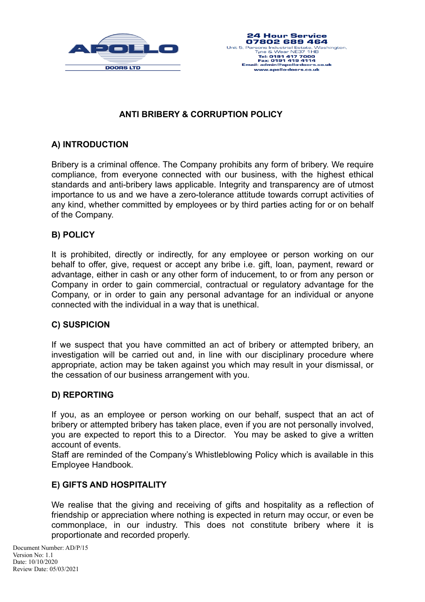



# **ANTI BRIBERY & CORRUPTION POLICY**

### **A) INTRODUCTION**

Bribery is a criminal offence. The Company prohibits any form of bribery. We require compliance, from everyone connected with our business, with the highest ethical standards and anti-bribery laws applicable. Integrity and transparency are of utmost importance to us and we have a zero-tolerance attitude towards corrupt activities of any kind, whether committed by employees or by third parties acting for or on behalf of the Company.

### **B) POLICY**

It is prohibited, directly or indirectly, for any employee or person working on our behalf to offer, give, request or accept any bribe i.e. gift, loan, payment, reward or advantage, either in cash or any other form of inducement, to or from any person or Company in order to gain commercial, contractual or regulatory advantage for the Company, or in order to gain any personal advantage for an individual or anyone connected with the individual in a way that is unethical.

#### **C) SUSPICION**

If we suspect that you have committed an act of bribery or attempted bribery, an investigation will be carried out and, in line with our disciplinary procedure where appropriate, action may be taken against you which may result in your dismissal, or the cessation of our business arrangement with you.

#### **D) REPORTING**

If you, as an employee or person working on our behalf, suspect that an act of bribery or attempted bribery has taken place, even if you are not personally involved, you are expected to report this to a Director. You may be asked to give a written account of events.

Staff are reminded of the Company's Whistleblowing Policy which is available in this Employee Handbook.

#### **E) GIFTS AND HOSPITALITY**

We realise that the giving and receiving of gifts and hospitality as a reflection of friendship or appreciation where nothing is expected in return may occur, or even be commonplace, in our industry. This does not constitute bribery where it is proportionate and recorded properly.

Document Number: AD/P/15 Version No: 1.1 Date: 10/10/2020 Review Date: 05/03/2021